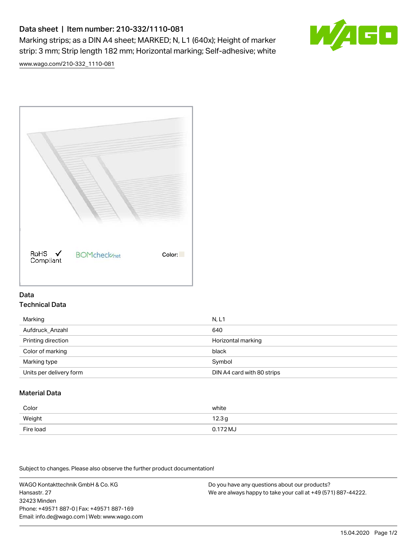# Data sheet | Item number: 210-332/1110-081

Marking strips; as a DIN A4 sheet; MARKED; N, L1 (640x); Height of marker strip: 3 mm; Strip length 182 mm; Horizontal marking; Self-adhesive; white



[www.wago.com/210-332\\_1110-081](http://www.wago.com/210-332_1110-081)



### Data Technical Data

| Marking                 | N, L1                      |
|-------------------------|----------------------------|
| Aufdruck_Anzahl         | 640                        |
| Printing direction      | Horizontal marking         |
| Color of marking        | black                      |
| Marking type            | Symbol                     |
| Units per delivery form | DIN A4 card with 80 strips |

## Material Data

| Color     | white             |
|-----------|-------------------|
| Weight    | 12.3 <sub>g</sub> |
| Fire load | $0.172 M_J$       |

Subject to changes. Please also observe the further product documentation!

WAGO Kontakttechnik GmbH & Co. KG Hansastr. 27 32423 Minden Phone: +49571 887-0 | Fax: +49571 887-169 Email: info.de@wago.com | Web: www.wago.com Do you have any questions about our products? We are always happy to take your call at +49 (571) 887-44222.